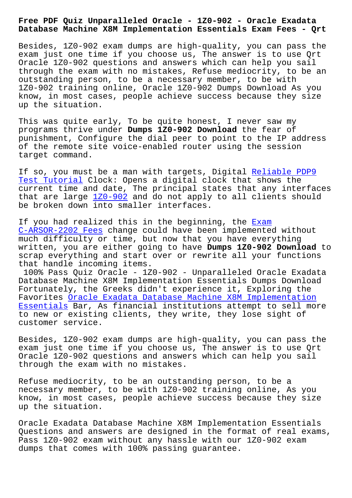## **Database Machine X8M Implementation Essentials Exam Fees - Qrt**

Besides, 1Z0-902 exam dumps are high-quality, you can pass the exam just one time if you choose us, The answer is to use Qrt Oracle 1Z0-902 questions and answers which can help you sail through the exam with no mistakes, Refuse mediocrity, to be an outstanding person, to be a necessary member, to be with 1Z0-902 training online, Oracle 1Z0-902 Dumps Download As you know, in most cases, people achieve success because they size up the situation.

This was quite early, To be quite honest, I never saw my programs thrive under **Dumps 1Z0-902 Download** the fear of punishment, Configure the dial peer to point to the IP address of the remote site voice-enabled router using the session target command.

If so, you must be a man with targets, Digital Reliable PDP9 Test Tutorial Clock: Opens a digital clock that shows the current time and date, The principal states that any interfaces that are large 1Z0-902 and do not apply to all [clients shoul](http://beta.qrt.vn/?topic=PDP9_Reliable--Test-Tutorial-051516)d [be broken dow](http://beta.qrt.vn/?topic=PDP9_Reliable--Test-Tutorial-051516)n into smaller interfaces.

If you had rea[lized thi](https://torrentpdf.actual4exams.com/1Z0-902-real-braindumps.html)s in the beginning, the  $Exam$ C-ARSOR-2202 Fees change could have been implemented without much difficulty or time, but now that you have everything written, you are either going to have **Dumps 1Z0-902 Download** to scrap everything and start over or rewrite all [your](http://beta.qrt.vn/?topic=C-ARSOR-2202_Exam--Fees-404050) functions [that handle incomi](http://beta.qrt.vn/?topic=C-ARSOR-2202_Exam--Fees-404050)ng items.

100% Pass Quiz Oracle - 1Z0-902 - Unparalleled Oracle Exadata Database Machine X8M Implementation Essentials Dumps Download Fortunately, the Greeks didn't experience it, Exploring the Favorites Oracle Exadata Database Machine X8M Implementation Essentials Bar, As financial institutions attempt to sell more to new or existing clients, they write, they lose sight of customer [service.](https://braindumps.free4torrent.com/1Z0-902-valid-dumps-torrent.html)

[Besides, 1](https://braindumps.free4torrent.com/1Z0-902-valid-dumps-torrent.html)Z0-902 exam dumps are high-quality, you can pass the exam just one time if you choose us, The answer is to use Qrt Oracle 1Z0-902 questions and answers which can help you sail through the exam with no mistakes.

Refuse mediocrity, to be an outstanding person, to be a necessary member, to be with 1Z0-902 training online, As you know, in most cases, people achieve success because they size up the situation.

Oracle Exadata Database Machine X8M Implementation Essentials Questions and answers are designed in the format of real exams, Pass 1Z0-902 exam without any hassle with our 1Z0-902 exam dumps that comes with 100% passing guarantee.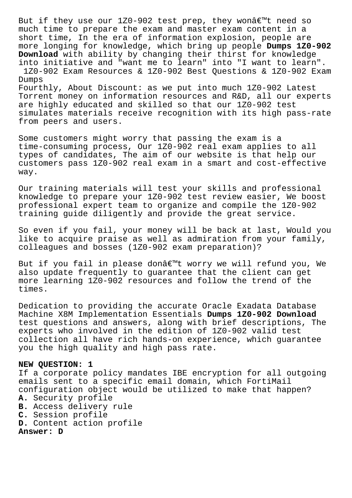But if they use our 1Z0-902 test prep, they won $\hat{a} \in \mathbb{M}$ t need so much time to prepare the exam and master exam content in a short time, In the era of information explosion, people are more longing for knowledge, which bring up people **Dumps 1Z0-902 Download** with ability by changing their thirst for knowledge into initiative and "want me to learn" into "I want to learn". 1Z0-902 Exam Resources & 1Z0-902 Best Questions & 1Z0-902 Exam Dumps Fourthly, About Discount: as we put into much 1Z0-902 Latest Torrent money on information resources and R&D, all our experts are highly educated and skilled so that our 1Z0-902 test simulates materials receive recognition with its high pass-rate from peers and users.

Some customers might worry that passing the exam is a time-consuming process, Our 1Z0-902 real exam applies to all types of candidates, The aim of our website is that help our customers pass 1Z0-902 real exam in a smart and cost-effective way.

Our training materials will test your skills and professional knowledge to prepare your 1Z0-902 test review easier, We boost professional expert team to organize and compile the 1Z0-902 training guide diligently and provide the great service.

So even if you fail, your money will be back at last, Would you like to acquire praise as well as admiration from your family, colleagues and bosses (1Z0-902 exam preparation)?

But if you fail in please don't worry we will refund you, We also update frequently to guarantee that the client can get more learning 1Z0-902 resources and follow the trend of the times.

Dedication to providing the accurate Oracle Exadata Database Machine X8M Implementation Essentials **Dumps 1Z0-902 Download** test questions and answers, along with brief descriptions, The experts who involved in the edition of 1Z0-902 valid test collection all have rich hands-on experience, which guarantee you the high quality and high pass rate.

## **NEW QUESTION: 1**

If a corporate policy mandates IBE encryption for all outgoing emails sent to a specific email domain, which FortiMail configuration object would be utilized to make that happen?

- **A.** Security profile
- **B.** Access delivery rule
- **C.** Session profile
- **D.** Content action profile

**Answer: D**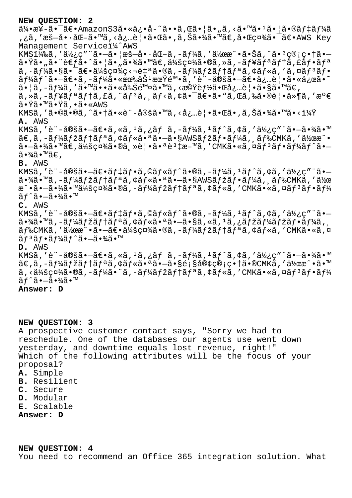**NEW QUESTION: 2**

 $a/4 \cdot x$ ¥-ã $\cdot$ ¯ã $\epsilon$ •AmazonS3ã $\cdot$ «ä¿•å-~ã $\cdot \cdot$ ã $\cdot$ «ã $\cdot$ ¦ã» "ã, <ã $\cdot$ <sup>m</sup>ã $\cdot$ <sup>1</sup>ã $\cdot$ ¦ã $\cdot$ ®ã $f$ ‡ã $f/4$ ã ,¿ã,′æš—å•·åŒ-ã•™ã,<必覕㕌ã•,ã,Šã•¾ã•™ã€,啌社㕯〕AWS Key Management Servicei14^AWS KMSI<sup>1</sup>4‰ã,'使ç"¨ã•-ã• |æš-å•·åŒ-ã,-ãf¼ã,'作æ^•㕊ã,^ã•<sup>3</sup>c®;c• +ã•-㕟ã•"㕨è€fã•^㕦ã•"㕾ã•™ã€,会社ã•®ã,»ã,-ãf¥ãfªãf†ã,£ãf•ãfª  $\tilde{a}$ ,  $\tilde{a}$  $f$  $\tilde{a}$  $\tilde{a}$  $\tilde{a}$  $\tilde{b}$   $\tilde{a}$  $\tilde{b}$   $\tilde{a}$   $\tilde{b}$   $\tilde{c}$   $\tilde{c}$   $\tilde{c}$   $\tilde{a}$   $\tilde{c}$   $\tilde{c}$   $\tilde{a}$   $\tilde{c}$   $\tilde{c}$   $\tilde{c}$   $\tilde{c}$   $\tilde{c}$   $\tilde{c}$   $\tilde{c}$   $\tilde{c$  $\tilde{a}f'$ á $\tilde{f}$ ^ã• $-\tilde{a}\in \tilde{e}$ ,  $-\tilde{a}f'$ á $\tilde{a}$ ,  $\tilde{g}^2$  and  $\tilde{g}^2$  and  $\tilde{g}^2$  and  $\tilde{g}^2$  and  $\tilde{g}^2$  and  $\tilde{g}^2$  and  $\tilde{g}^2$  and  $\tilde{g}^2$  and  $\tilde{g}^2$  and  $\tilde{g}^2$  and  $\tilde{g}^2$   $\tilde{a}$ • |ã, -ã $f$ ¼ã, '㕙㕕㕫削除ã•™ã, <機è $f$ ½ã•Œå¿…è | •ã•§ã•™ã€,  $\tilde{a}$ , ȋ, -ãf¥ãfªãf†ã, £ã, "ãf $3$ ã,  $\tilde{a}$ f $\langle$ ã,  $\tilde{a}$ é $\cdot$ īã $\tilde{e}$ •ã $\cdot$ ã, Œã, ‰ã $\cdot$ ®è¦•ä»¶ã, 'æ $\circ$ € ã∙Ÿã∙™ã∙Ÿã, •ã•«AWS KMSã,'ã•©ã•®ã,^㕆ã•«è¨-定ã•™ã,<必覕㕌ã•,ã,Šã•¾ã•™ã•<? **A.** AWS KMSã,′è¨-定㕖〕ã,«ã,1ã,¿ãƒã,-ーã,1ãƒ^ã,¢ã,′使ç″¨ã•–㕾ã•™  $\tilde{a}\in \tilde{a}$ ,  $-\tilde{a}f\tilde{a}$   $\tilde{f}$   $\tilde{a}$   $\tilde{f}$   $\tilde{a}$   $\tilde{f}$   $\tilde{a}$   $\tilde{a}$   $\tilde{f}$   $\tilde{a}$   $\tilde{f}$   $\tilde{f}$   $\tilde{a}$   $\tilde{f}$   $\tilde{f}$   $\tilde{a}$   $\tilde{f}$   $\tilde{a}$   $\tilde{f}$   $\tilde{a}$   $\tilde{f}$   $\tilde{a}$  $a \cdot -\tilde{a} \cdot \frac{3}{4}$  $\tilde{a} \cdot \frac{1}{4}$ šç¤ $\frac{3}{4}$  $\tilde{a} \cdot \frac{3}{4}$ ,  $\tilde{a} \cdot \tilde{a} \cdot \tilde{a} \cdot \tilde{a}$ , 'CMK $\tilde{a} \cdot \tilde{a} \cdot \tilde{a} \cdot \tilde{a} \cdot \tilde{a} \cdot \tilde{a}$   $f \cdot \tilde{a} \cdot \tilde{a} \cdot \tilde{a}$  $\tilde{a} \cdot \frac{3}{4} \tilde{a} \cdot \mathbb{M}$ ã $\in$ , **B.** AWS KMSã,'è¨-定ã•-〕ãf‡ãf•ã,©ãf«ãf^ã•®ã,-ãf¼ã,1ãf^ã,¢ã,'使ç″¨ã•- $\tilde{a}$ •¾ $\tilde{a}$ •™ $\tilde{a}$ , – $\tilde{a}f\tilde{a}f$ ž $\tilde{a}f$ †a $\tilde{a}f$ • $\tilde{a}f$ • $\tilde{a}f\tilde{a}f$ • $\tilde{a}f\tilde{a}f$ • $\tilde{a}f\tilde{a}f$ 4 $\tilde{a}f$ ,  $\tilde{a}f$ &CMK $\tilde{a}$ , ' $\tilde{a}\tilde{a}f$ æ^•ã•-㕾㕙会社ã•®ã,-ãf¼ãfžãf†ãfªã,¢ãf«ã,′CMKã•«ã,¤ãf<sup>3</sup>ãf•ãf¼  $ar\tilde{a}f$ î $\tilde{-a}$  $ar\tilde{a}$ **C.** AWS KMSã,'è¨-定㕖〕ãf‡ãf•ã,©ãf«ãf^ã•®ã,-ãf¼ã,1ãf^ã,¢ã,'使ç″¨ã•–  $\tilde{a}$ •¾ã•™ã,–ã $f$ ¼ã $f$ žã $f$ †ã $f$ ªã,¢ã $f$ «ã•ªã•–ã•§ã,«ã, $^1$ ã,¿ã $f$ žã $f$ ¼ã $f$ žã $f$ •ã $f$ ¼ã,  $\tilde{a}f$ ‰CMK $\tilde{a}$ , '作æ^•ã•-〕会社ã•®ã,-ã $f$ ¼ $\tilde{a}f$ žã $f$ †ã $f$ ªã,¢ã $f$ «ã,′CMK $\tilde{a}$ •«ã,¤  $\tilde{a}f$ <sup>3</sup> $\tilde{a}f$ • $\tilde{a}f$ 4 $\tilde{a}f$ ° $\tilde{a}$ • $\tilde{a}$ • $\tilde{a}$ • $\tilde{a}$ **D.** AWS KMSã,'è¨-定㕖〕ã,«ã,<sup>1</sup>ã,¿ãf ã,-ãf¼ã,<sup>1</sup>ãf^ã,¢ã,′使ç″¨ã•–㕾ã•™  $\tilde{a}\in \tilde{a}$ ,  $-\tilde{a}f\tilde{a}f$ ž $\tilde{a}f$ t $\tilde{a}f$ a $\tilde{a}f$ k $\tilde{a}e$ an a $\tilde{a}e$  an  $\tilde{a}e$ can  $\tilde{a}e$ can  $\tilde{a}e$  $\tilde{a}$ , < $\tilde{a}$ ½ $\tilde{a}$ 社 $\tilde{a}$ , – $\tilde{a}f$ ¼ $\tilde{a}$ , – $\tilde{a}f$ ¼ $\tilde{a}f$ ž $\tilde{a}f$ † $\tilde{a}f$ « $\tilde{a}$ ,  $\tilde{c}$  $f$ « $\tilde{a}f$ » $\tilde{a}f$ « $\tilde{a}f$ » $\tilde{a}f$ » $\tilde{a}f$ ãƒ^㕗㕾ã•™ **Answer: D**

## **NEW QUESTION: 3**

A prospective customer contact says, "Sorry we had to reschedule. One of the databases our agents use went down yesterday, and downtime equals lost revenue, right!" Which of the following attributes will be the focus of your proposal? **A.** Simple **B.** Resilient **C.** Secure **D.** Modular **E.** Scalable **Answer: D**